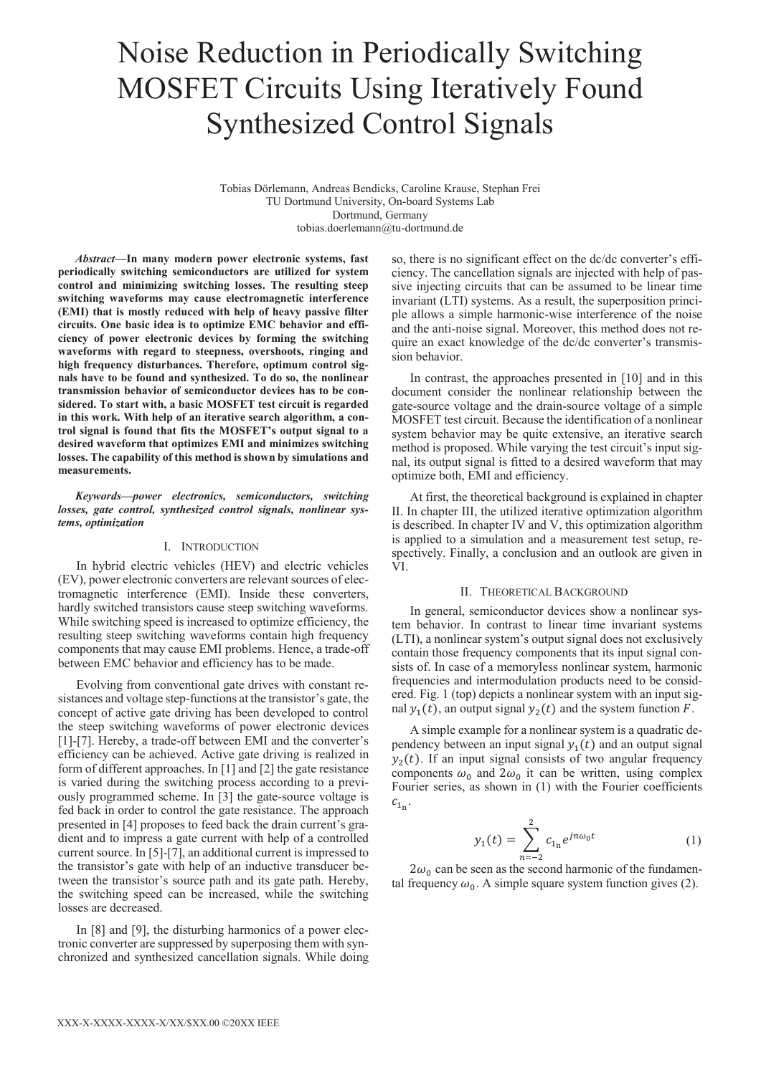# Noise Reduction in Periodically Switching MOSFET Circuits Using Iteratively Found Synthesized Control Signals

Tobias Dörlemann, Andreas Bendicks, Caroline Krause, Stephan Frei TU Dortmund University, On-board Systems Lab Dortmund, Germany tobias.doerlemann@tu-dortmund.de

*Abstract***—In many modern power electronic systems, fast periodically switching semiconductors are utilized for system control and minimizing switching losses. The resulting steep switching waveforms may cause electromagnetic interference (EMI) that is mostly reduced with help of heavy passive filter circuits. One basic idea is to optimize EMC behavior and efficiency of power electronic devices by forming the switching waveforms with regard to steepness, overshoots, ringing and high frequency disturbances. Therefore, optimum control signals have to be found and synthesized. To do so, the nonlinear transmission behavior of semiconductor devices has to be considered. To start with, a basic MOSFET test circuit is regarded in this work. With help of an iterative search algorithm, a control signal is found that fits the MOSFET's output signal to a desired waveform that optimizes EMI and minimizes switching losses. The capability of this method is shown by simulations and measurements.** 

*Keywords—power electronics, semiconductors, switching losses, gate control, synthesized control signals, nonlinear systems, optimization* 

#### I. INTRODUCTION

In hybrid electric vehicles (HEV) and electric vehicles (EV), power electronic converters are relevant sources of electromagnetic interference (EMI). Inside these converters, hardly switched transistors cause steep switching waveforms. While switching speed is increased to optimize efficiency, the resulting steep switching waveforms contain high frequency components that may cause EMI problems. Hence, a trade-off between EMC behavior and efficiency has to be made.

Evolving from conventional gate drives with constant resistances and voltage step-functions at the transistor's gate, the concept of active gate driving has been developed to control the steep switching waveforms of power electronic devices [1]-[7]. Hereby, a trade-off between EMI and the converter's efficiency can be achieved. Active gate driving is realized in form of different approaches. In [1] and [2] the gate resistance is varied during the switching process according to a previously programmed scheme. In [3] the gate-source voltage is fed back in order to control the gate resistance. The approach presented in [4] proposes to feed back the drain current's gradient and to impress a gate current with help of a controlled current source. In [5]-[7], an additional current is impressed to the transistor's gate with help of an inductive transducer between the transistor's source path and its gate path. Hereby, the switching speed can be increased, while the switching losses are decreased.

In [8] and [9], the disturbing harmonics of a power electronic converter are suppressed by superposing them with synchronized and synthesized cancellation signals. While doing so, there is no significant effect on the dc/dc converter's efficiency. The cancellation signals are injected with help of passive injecting circuits that can be assumed to be linear time invariant (LTI) systems. As a result, the superposition principle allows a simple harmonic-wise interference of the noise and the anti-noise signal. Moreover, this method does not require an exact knowledge of the dc/dc converter's transmission behavior.

In contrast, the approaches presented in [10] and in this document consider the nonlinear relationship between the gate-source voltage and the drain-source voltage of a simple MOSFET test circuit. Because the identification of a nonlinear system behavior may be quite extensive, an iterative search method is proposed. While varying the test circuit's input signal, its output signal is fitted to a desired waveform that may optimize both, EMI and efficiency.

At first, the theoretical background is explained in chapter II. In chapter III, the utilized iterative optimization algorithm is described. In chapter IV and V, this optimization algorithm is applied to a simulation and a measurement test setup, respectively. Finally, a conclusion and an outlook are given in VI.

# II. THEORETICAL BACKGROUND

In general, semiconductor devices show a nonlinear system behavior. In contrast to linear time invariant systems (LTI), a nonlinear system's output signal does not exclusively contain those frequency components that its input signal consists of. In case of a memoryless nonlinear system, harmonic frequencies and intermodulation products need to be considered. Fig. 1 (top) depicts a nonlinear system with an input signal  $y_1(t)$ , an output signal  $y_2(t)$  and the system function F.

A simple example for a nonlinear system is a quadratic dependency between an input signal  $y_1(t)$  and an output signal  $y_2(t)$ . If an input signal consists of two angular frequency components  $\omega_0$  and  $2\omega_0$  it can be written, using complex Fourier series, as shown in (1) with the Fourier coefficients  $c_{1n}$ .

$$
y_1(t) = \sum_{n=-2}^{2} c_{1n} e^{jn\omega_0 t}
$$
 (1)

 $2\omega_0$  can be seen as the second harmonic of the fundamental frequency  $\omega_0$ . A simple square system function gives (2).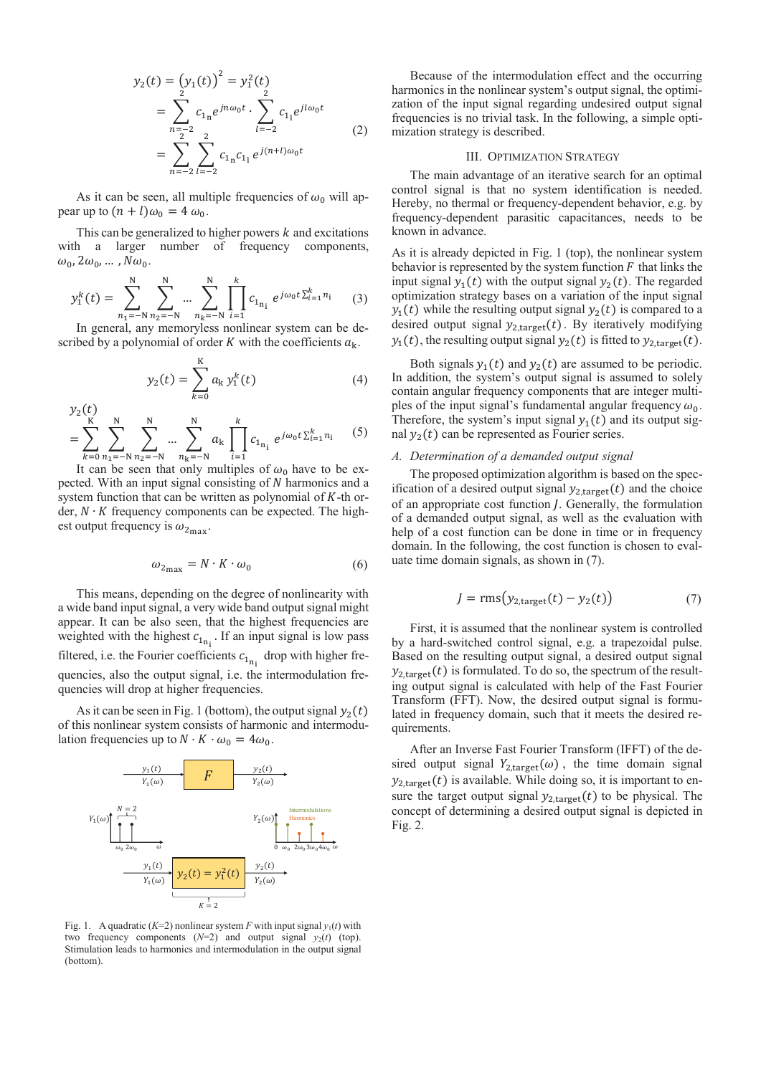$$
y_2(t) = (y_1(t))^2 = y_1^2(t)
$$
  
= 
$$
\sum_{n=-2}^{2} c_{1n} e^{jn\omega_0 t} \cdot \sum_{l=-2}^{2} c_{1l} e^{jl\omega_0 t}
$$
  
= 
$$
\sum_{n=-2}^{2} \sum_{l=-2}^{2} c_{1n} c_{1l} e^{j(n+l)\omega_0 t}
$$
 (2)

As it can be seen, all multiple frequencies of  $\omega_0$  will appear up to  $(n + l)\omega_0 = 4 \omega_0$ .

This can be generalized to higher powers  $k$  and excitations with a larger number of frequency components,  $\omega_0$ ,  $2\omega_0$ , ...,  $N\omega_0$ .

$$
y_1^k(t) = \sum_{n_1 = -N}^{N} \sum_{n_2 = -N}^{N} \dots \sum_{n_k = -N}^{N} \prod_{i=1}^{k} c_{1_{n_i}} e^{j\omega_0 t \sum_{i=1}^{k} n_i}
$$
 (3)

In general, any memoryless nonlinear system can be described by a polynomial of order  $K$  with the coefficients  $a_k$ .

$$
y_2(t) = \sum_{k=0}^{K} a_k y_1^k(t)
$$
 (4)

$$
y_2(\mathcal{L}) = \sum_{k=0}^{K} \sum_{n_1=-N}^{N} \sum_{n_2=-N}^{N} \dots \sum_{n_k=-N}^{N} a_k \prod_{i=1}^{k} c_{1_{n_i}} e^{j\omega_0 t \sum_{i=1}^{k} n_i}
$$
 (5)

 $\overline{a}$   $\overline{a}$ 

It can be seen that only multiples of  $\omega_0$  have to be expected. With an input signal consisting of N harmonics and a system function that can be written as polynomial of  $K$ -th order,  $N \cdot K$  frequency components can be expected. The highest output frequency is  $\omega_{2_{\text{max}}}$ .

$$
\omega_{2_{\text{max}}} = N \cdot K \cdot \omega_0 \tag{6}
$$

This means, depending on the degree of nonlinearity with a wide band input signal, a very wide band output signal might appear. It can be also seen, that the highest frequencies are weighted with the highest  $c_{1_{n_i}}$ . If an input signal is low pass filtered, i.e. the Fourier coefficients  $c_{1_{n_i}}$  drop with higher frequencies, also the output signal, i.e. the intermodulation frequencies will drop at higher frequencies.

As it can be seen in Fig. 1 (bottom), the output signal  $y_2(t)$ of this nonlinear system consists of harmonic and intermodulation frequencies up to  $N \cdot K \cdot \omega_0 = 4\omega_0$ .



Fig. 1. A quadratic ( $K=2$ ) nonlinear system *F* with input signal  $y_1(t)$  with two frequency components  $(N=2)$  and output signal  $y_2(t)$  (top). Stimulation leads to harmonics and intermodulation in the output signal (bottom).

Because of the intermodulation effect and the occurring harmonics in the nonlinear system's output signal, the optimization of the input signal regarding undesired output signal frequencies is no trivial task. In the following, a simple optimization strategy is described.

#### III. OPTIMIZATION STRATEGY

The main advantage of an iterative search for an optimal control signal is that no system identification is needed. Hereby, no thermal or frequency-dependent behavior, e.g. by frequency-dependent parasitic capacitances, needs to be known in advance.

As it is already depicted in Fig. 1 (top), the nonlinear system behavior is represented by the system function  $F$  that links the input signal  $y_1(t)$  with the output signal  $y_2(t)$ . The regarded optimization strategy bases on a variation of the input signal  $y_1(t)$  while the resulting output signal  $y_2(t)$  is compared to a desired output signal  $y_{2,\text{target}}(t)$ . By iteratively modifying  $y_1(t)$ , the resulting output signal  $y_2(t)$  is fitted to  $y_{2,\text{target}}(t)$ .

Both signals  $y_1(t)$  and  $y_2(t)$  are assumed to be periodic. In addition, the system's output signal is assumed to solely contain angular frequency components that are integer multiples of the input signal's fundamental angular frequency  $\omega_0$ . Therefore, the system's input signal  $y_1(t)$  and its output signal  $y_2(t)$  can be represented as Fourier series.

## *A. Determination of a demanded output signal*

The proposed optimization algorithm is based on the specification of a desired output signal  $y_{2,\text{target}}(t)$  and the choice of an appropriate cost function *J*. Generally, the formulation of a demanded output signal, as well as the evaluation with help of a cost function can be done in time or in frequency domain. In the following, the cost function is chosen to evaluate time domain signals, as shown in (7).

$$
J = rms(y_{2,target}(t) - y_2(t))
$$
\n<sup>(7)</sup>

First, it is assumed that the nonlinear system is controlled by a hard-switched control signal, e.g. a trapezoidal pulse. Based on the resulting output signal, a desired output signal  $y_{2, \text{target}}(t)$  is formulated. To do so, the spectrum of the resulting output signal is calculated with help of the Fast Fourier Transform (FFT). Now, the desired output signal is formulated in frequency domain, such that it meets the desired requirements.

After an Inverse Fast Fourier Transform (IFFT) of the desired output signal  $Y_{2,\text{target}}(\omega)$ , the time domain signal  $y_{2,\text{target}}(t)$  is available. While doing so, it is important to ensure the target output signal  $y_{2,\text{target}}(t)$  to be physical. The concept of determining a desired output signal is depicted in Fig. 2.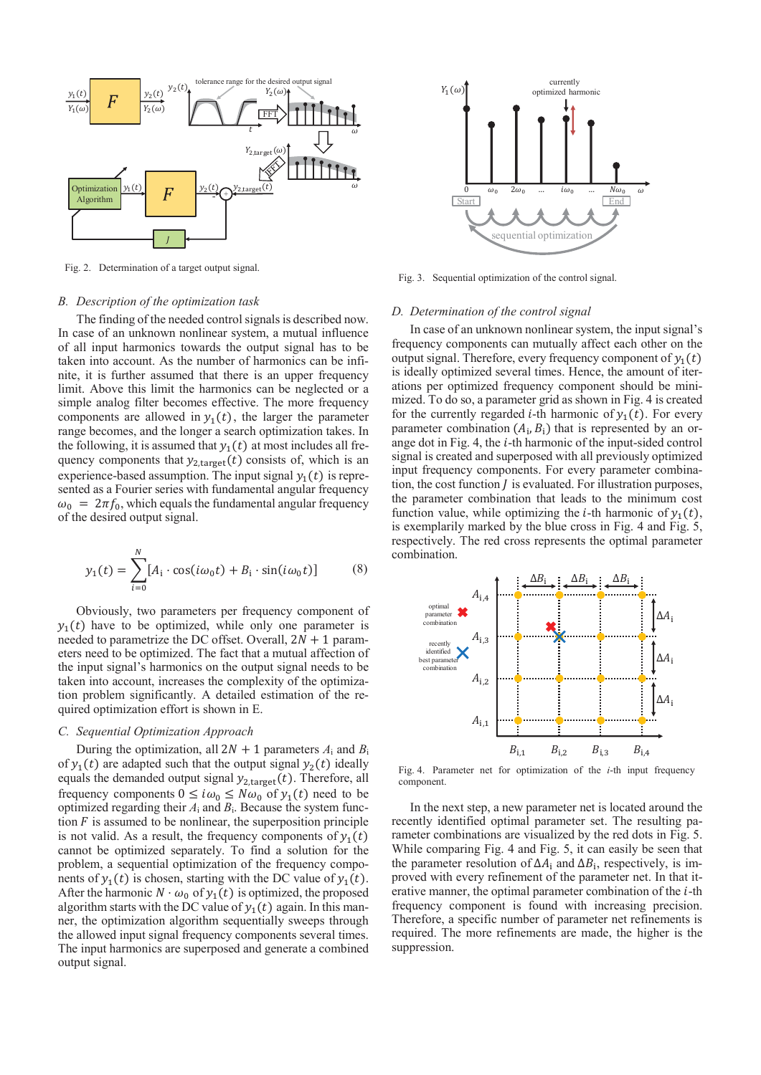

Fig. 2. Determination of a target output signal.

## *B. Description of the optimization task*

The finding of the needed control signals is described now. In case of an unknown nonlinear system, a mutual influence of all input harmonics towards the output signal has to be taken into account. As the number of harmonics can be infinite, it is further assumed that there is an upper frequency limit. Above this limit the harmonics can be neglected or a simple analog filter becomes effective. The more frequency components are allowed in  $y_1(t)$ , the larger the parameter range becomes, and the longer a search optimization takes. In the following, it is assumed that  $y_1(t)$  at most includes all frequency components that  $y_{2,\text{target}}(t)$  consists of, which is an experience-based assumption. The input signal  $y_1(t)$  is represented as a Fourier series with fundamental angular frequency  $\omega_0 = 2\pi f_0$ , which equals the fundamental angular frequency of the desired output signal.

$$
y_1(t) = \sum_{i=0}^{N} [A_i \cdot \cos(i\omega_0 t) + B_i \cdot \sin(i\omega_0 t)] \tag{8}
$$

Obviously, two parameters per frequency component of  $y_1(t)$  have to be optimized, while only one parameter is needed to parametrize the DC offset. Overall,  $2N + 1$  parameters need to be optimized. The fact that a mutual affection of the input signal's harmonics on the output signal needs to be taken into account, increases the complexity of the optimization problem significantly. A detailed estimation of the required optimization effort is shown in E.

# *C. Sequential Optimization Approach*

During the optimization, all  $2N + 1$  parameters  $A_i$  and  $B_i$ of  $y_1(t)$  are adapted such that the output signal  $y_2(t)$  ideally equals the demanded output signal  $y_{2, \text{target}}(t)$ . Therefore, all frequency components  $0 \leq i\omega_0 \leq N\omega_0$  of  $y_1(t)$  need to be optimized regarding their *A*i and *B*i. Because the system function  $F$  is assumed to be nonlinear, the superposition principle is not valid. As a result, the frequency components of  $y_1(t)$ cannot be optimized separately. To find a solution for the problem, a sequential optimization of the frequency components of  $y_1(t)$  is chosen, starting with the DC value of  $y_1(t)$ . After the harmonic  $N \cdot \omega_0$  of  $y_1(t)$  is optimized, the proposed algorithm starts with the DC value of  $y_1(t)$  again. In this manner, the optimization algorithm sequentially sweeps through the allowed input signal frequency components several times. The input harmonics are superposed and generate a combined output signal.



Fig. 3. Sequential optimization of the control signal.

#### *D. Determination of the control signal*

In case of an unknown nonlinear system, the input signal's frequency components can mutually affect each other on the output signal. Therefore, every frequency component of  $v_1(t)$ is ideally optimized several times. Hence, the amount of iterations per optimized frequency component should be minimized. To do so, a parameter grid as shown in Fig. 4 is created for the currently regarded *i*-th harmonic of  $y_1(t)$ . For every parameter combination  $(A_i, B_i)$  that is represented by an orange dot in Fig. 4, the  $i$ -th harmonic of the input-sided control signal is created and superposed with all previously optimized input frequency components. For every parameter combination, the cost function  *is evaluated. For illustration purposes,* the parameter combination that leads to the minimum cost function value, while optimizing the *i*-th harmonic of  $y_1(t)$ , is exemplarily marked by the blue cross in Fig. 4 and Fig. 5, respectively. The red cross represents the optimal parameter combination.



Fig. 4. Parameter net for optimization of the *i*-th input frequency component.

In the next step, a new parameter net is located around the recently identified optimal parameter set. The resulting parameter combinations are visualized by the red dots in Fig. 5. While comparing Fig. 4 and Fig. 5, it can easily be seen that the parameter resolution of  $\Delta A_i$  and  $\Delta B_i$ , respectively, is improved with every refinement of the parameter net. In that iterative manner, the optimal parameter combination of the  $i$ -th frequency component is found with increasing precision. Therefore, a specific number of parameter net refinements is required. The more refinements are made, the higher is the suppression.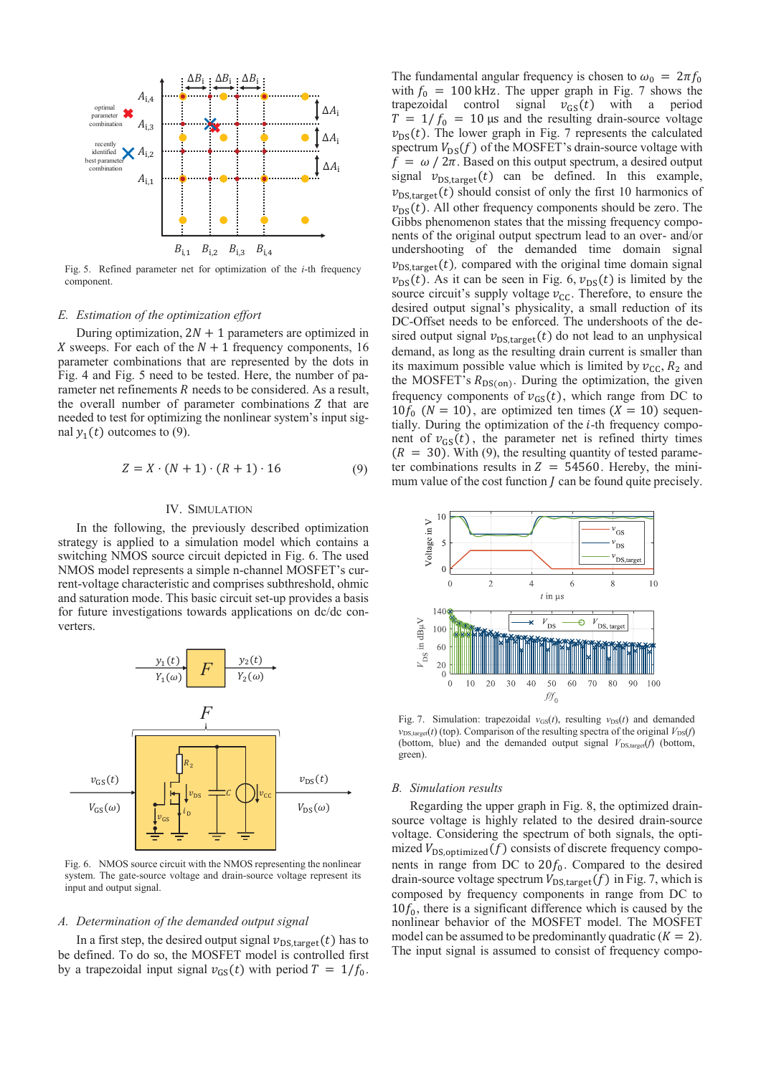

Fig. 5. Refined parameter net for optimization of the *i*-th frequency component.

#### *E. Estimation of the optimization effort*

During optimization,  $2N + 1$  parameters are optimized in X sweeps. For each of the  $N + 1$  frequency components, 16 parameter combinations that are represented by the dots in Fig. 4 and Fig. 5 need to be tested. Here, the number of parameter net refinements  $R$  needs to be considered. As a result, the overall number of parameter combinations  $Z$  that are needed to test for optimizing the nonlinear system's input signal  $y_1(t)$  outcomes to (9).

$$
Z = X \cdot (N+1) \cdot (R+1) \cdot 16 \tag{9}
$$

#### IV. SIMULATION

In the following, the previously described optimization strategy is applied to a simulation model which contains a switching NMOS source circuit depicted in Fig. 6. The used NMOS model represents a simple n-channel MOSFET's current-voltage characteristic and comprises subthreshold, ohmic and saturation mode. This basic circuit set-up provides a basis for future investigations towards applications on dc/dc converters.



Fig. 6. NMOS source circuit with the NMOS representing the nonlinear system. The gate-source voltage and drain-source voltage represent its input and output signal.

#### *A. Determination of the demanded output signal*

In a first step, the desired output signal  $v_{DS, \text{target}}(t)$  has to be defined. To do so, the MOSFET model is controlled first by a trapezoidal input signal  $v_{GS}(t)$  with period  $T = 1/f_0$ .

The fundamental angular frequency is chosen to  $\omega_0 = 2\pi f_0$ with  $f_0 = 100$  kHz. The upper graph in Fig. 7 shows the trapezoidal control signal  $v_{\text{GS}}(t)$  with a period  $T = 1/f_0 = 10 \,\mu s$  and the resulting drain-source voltage  $v_{DS}(t)$ . The lower graph in Fig. 7 represents the calculated spectrum  $V_{DS}(f)$  of the MOSFET's drain-source voltage with  $f = \omega / 2\pi$ . Based on this output spectrum, a desired output signal  $v_{DS,target}(t)$  can be defined. In this example,  $v_{DS,target}(t)$  should consist of only the first 10 harmonics of  $v_{DS}(t)$ . All other frequency components should be zero. The Gibbs phenomenon states that the missing frequency components of the original output spectrum lead to an over- and/or undershooting of the demanded time domain signal  $v_{DS,target}(t)$ , compared with the original time domain signal  $v_{DS}(t)$ . As it can be seen in Fig. 6,  $v_{DS}(t)$  is limited by the source circuit's supply voltage  $v_{\text{CC}}$ . Therefore, to ensure the desired output signal's physicality, a small reduction of its DC-Offset needs to be enforced. The undershoots of the desired output signal  $v_{DS,target}(t)$  do not lead to an unphysical demand, as long as the resulting drain current is smaller than its maximum possible value which is limited by  $v_{\text{CC}}$ ,  $R_2$  and the MOSFET's  $R_{DS(0n)}$ . During the optimization, the given frequency components of  $v_{GS}(t)$ , which range from DC to  $10f_0$  ( $N = 10$ ), are optimized ten times ( $X = 10$ ) sequentially. During the optimization of the  $i$ -th frequency component of  $v_{GS}(t)$ , the parameter net is refined thirty times  $(R = 30)$ . With (9), the resulting quantity of tested parameter combinations results in  $Z = 54560$ . Hereby, the minimum value of the cost function  $J$  can be found quite precisely.



Fig. 7. Simulation: trapezoidal  $v_{GS}(t)$ , resulting  $v_{DS}(t)$  and demanded  $v_{DS,target}(t)$  (top). Comparison of the resulting spectra of the original  $V_{DS}(f)$ (bottom, blue) and the demanded output signal  $V_{DS,target}(f)$  (bottom, green).

#### *B. Simulation results*

Regarding the upper graph in Fig. 8, the optimized drainsource voltage is highly related to the desired drain-source voltage. Considering the spectrum of both signals, the optimized  $V_{DS,optimized}(f)$  consists of discrete frequency components in range from DC to  $20f_0$ . Compared to the desired drain-source voltage spectrum  $V_{DS, \text{target}}(f)$  in Fig. 7, which is composed by frequency components in range from DC to  $10f_0$ , there is a significant difference which is caused by the nonlinear behavior of the MOSFET model. The MOSFET model can be assumed to be predominantly quadratic  $(K = 2)$ . The input signal is assumed to consist of frequency compo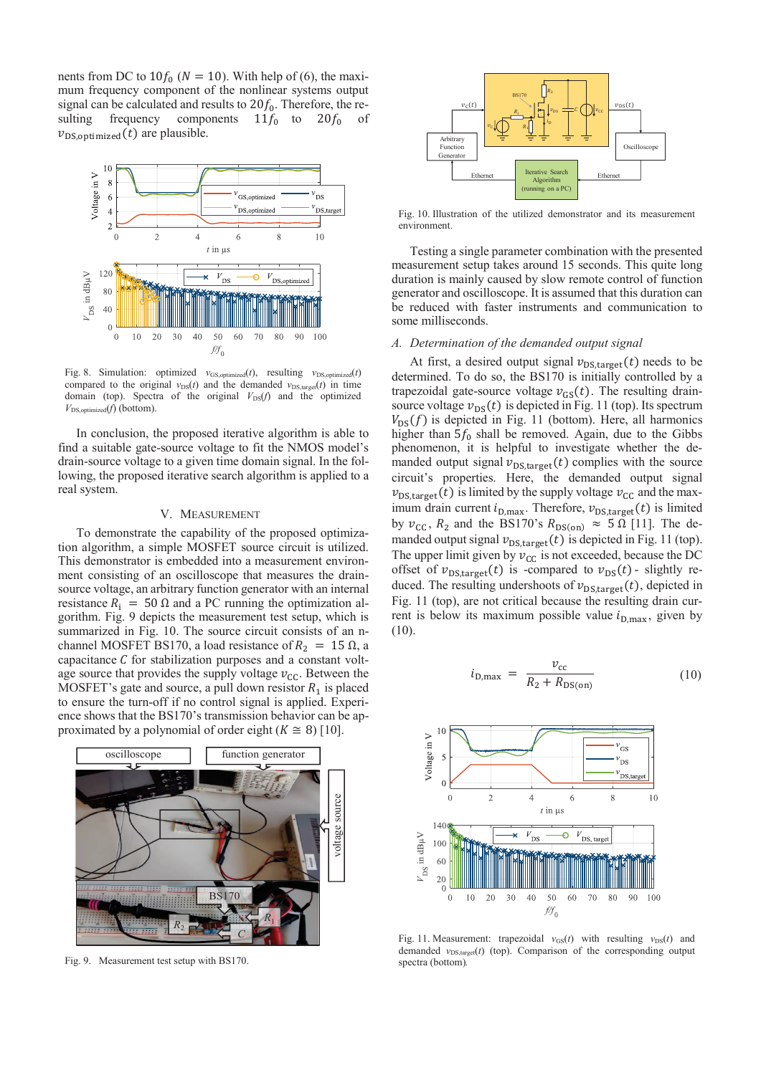nents from DC to  $10f_0$  ( $N = 10$ ). With help of (6), the maximum frequency component of the nonlinear systems output signal can be calculated and results to  $20f_0$ . Therefore, the resulting frequency components  $11f_0$  to  $20f_0$  of  $v_{DS, \text{optimized}}(t)$  are plausible.



Fig. 8. Simulation: optimized  $v_{GS,obtimited}(t)$ , resulting  $v_{DS,obtimited}(t)$ compared to the original  $v_{DS}(t)$  and the demanded  $v_{DS,target}(t)$  in time domain (top). Spectra of the original  $V_{DS}(f)$  and the optimized  $V_{DS, \text{optimized}}(f)$  (bottom).

In conclusion, the proposed iterative algorithm is able to find a suitable gate-source voltage to fit the NMOS model's drain-source voltage to a given time domain signal. In the following, the proposed iterative search algorithm is applied to a real system.

# V. MEASUREMENT

To demonstrate the capability of the proposed optimization algorithm, a simple MOSFET source circuit is utilized. This demonstrator is embedded into a measurement environment consisting of an oscilloscope that measures the drainsource voltage, an arbitrary function generator with an internal resistance  $R_i = 50 \Omega$  and a PC running the optimization algorithm. Fig. 9 depicts the measurement test setup, which is summarized in Fig. 10. The source circuit consists of an nchannel MOSFET BS170, a load resistance of  $R_2 = 15 \Omega$ , a capacitance  $C$  for stabilization purposes and a constant voltage source that provides the supply voltage  $v_{\text{CC}}$ . Between the MOSFET's gate and source, a pull down resistor  $R_1$  is placed to ensure the turn-off if no control signal is applied. Experience shows that the BS170's transmission behavior can be approximated by a polynomial of order eight  $(K \cong 8)$  [10].



Fig. 9. Measurement test setup with BS170.



Fig. 10. Illustration of the utilized demonstrator and its measurement environment.

Testing a single parameter combination with the presented measurement setup takes around 15 seconds. This quite long duration is mainly caused by slow remote control of function generator and oscilloscope. It is assumed that this duration can be reduced with faster instruments and communication to some milliseconds.

### *A. Determination of the demanded output signal*

At first, a desired output signal  $v_{DS,target}(t)$  needs to be determined. To do so, the BS170 is initially controlled by a trapezoidal gate-source voltage  $v_{GS}(t)$ . The resulting drainsource voltage  $v_{DS}(t)$  is depicted in Fig. 11 (top). Its spectrum  $V_{DS}(f)$  is depicted in Fig. 11 (bottom). Here, all harmonics higher than  $5f_0$  shall be removed. Again, due to the Gibbs phenomenon, it is helpful to investigate whether the demanded output signal  $v_{DS, \text{target}}(t)$  complies with the source circuit's properties. Here, the demanded output signal  $v_{DS,target}(t)$  is limited by the supply voltage  $v_{CC}$  and the maximum drain current  $i_{D,\text{max}}$ . Therefore,  $v_{DS,\text{target}}(t)$  is limited by  $v_{\text{CC}}$ ,  $R_2$  and the BS170's  $R_{\text{DS(on)}} \approx 5 \Omega$  [11]. The demanded output signal  $v_{DS,target}(t)$  is depicted in Fig. 11 (top). The upper limit given by  $v_{\text{CC}}$  is not exceeded, because the DC offset of  $v_{DS,target}(t)$  is -compared to  $v_{DS}(t)$ - slightly reduced. The resulting undershoots of  $v_{DS,target}(t)$ , depicted in Fig. 11 (top), are not critical because the resulting drain current is below its maximum possible value  $i_{D,\text{max}}$ , given by (10).

$$
i_{\text{D,max}} = \frac{v_{\text{cc}}}{R_2 + R_{\text{DS}(on)}} \tag{10}
$$



Fig. 11. Measurement: trapezoidal  $v_{GS}(t)$  with resulting  $v_{DS}(t)$  and demanded  $v_{DS,target}(t)$  (top). Comparison of the corresponding output spectra (bottom)*.*